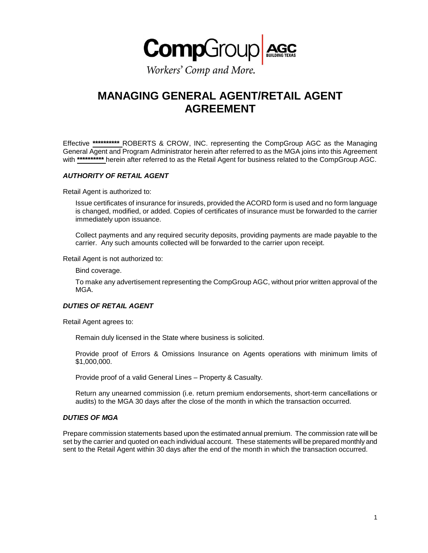

Workers' Comp and More.

# **MANAGING GENERAL AGENT/RETAIL AGENT AGREEMENT**

Effective **\*\*\*\*\*\*\*\*\*\*** ROBERTS & CROW, INC. representing the CompGroup AGC as the Managing General Agent and Program Administrator herein after referred to as the MGA joins into this Agreement with **\*\*\*\*\*\*\*\*\*\*** herein after referred to as the Retail Agent for business related to the CompGroup AGC.

## *AUTHORITY OF RETAIL AGENT*

Retail Agent is authorized to:

Issue certificates of insurance for insureds, provided the ACORD form is used and no form language is changed, modified, or added. Copies of certificates of insurance must be forwarded to the carrier immediately upon issuance.

Collect payments and any required security deposits, providing payments are made payable to the carrier. Any such amounts collected will be forwarded to the carrier upon receipt.

Retail Agent is not authorized to:

Bind coverage.

To make any advertisement representing the CompGroup AGC, without prior written approval of the MGA.

#### *DUTIES OF RETAIL AGENT*

Retail Agent agrees to:

Remain duly licensed in the State where business is solicited.

Provide proof of Errors & Omissions Insurance on Agents operations with minimum limits of \$1,000,000.

Provide proof of a valid General Lines – Property & Casualty.

Return any unearned commission (i.e. return premium endorsements, short-term cancellations or audits) to the MGA 30 days after the close of the month in which the transaction occurred.

#### *DUTIES OF MGA*

Prepare commission statements based upon the estimated annual premium. The commission rate will be set by the carrier and quoted on each individual account. These statements will be prepared monthly and sent to the Retail Agent within 30 days after the end of the month in which the transaction occurred.